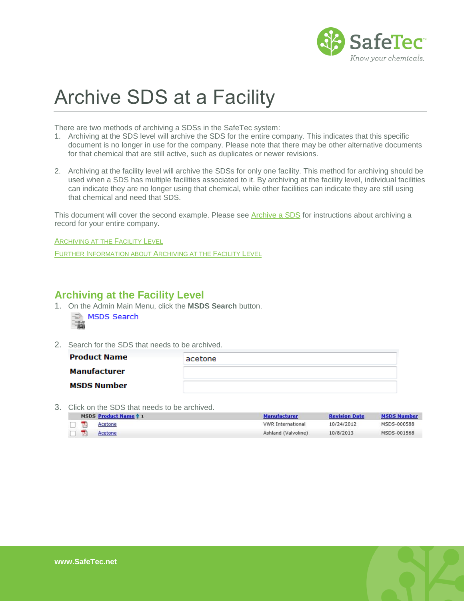

## Archive SDS at a Facility

There are two methods of archiving a SDSs in the SafeTec system:

- 1. Archiving at the SDS level will archive the SDS for the entire company. This indicates that this specific document is no longer in use for the company. Please note that there may be other alternative documents for that chemical that are still active, such as duplicates or newer revisions.
- 2. Archiving at the facility level will archive the SDSs for only one facility. This method for archiving should be used when a SDS has multiple facilities associated to it. By archiving at the facility level, individual facilities can indicate they are no longer using that chemical, while other facilities can indicate they are still using that chemical and need that SDS.

This document will cover the second example. Please see [Archive a SDS](http://www.safetec.net/wp-content/uploads/2014/08/help-archive-an-sds.pdf) for instructions about archiving a record for your entire company.

**A[RCHIVING AT THE](#page-0-0) FACILITY LEVEL** 

<span id="page-0-0"></span>FURTHER I[NFORMATION ABOUT](#page-2-0) ARCHIVING AT THE FACILITY LEVEL

## **Archiving at the Facility Level**

1. On the Admin Main Menu, click the **MSDS Search** button.

|  | MSDS Search |
|--|-------------|
|  |             |

2. Search for the SDS that needs to be archived.

| <b>Product Name</b> | acetone |
|---------------------|---------|
| Manufacturer        |         |
| <b>MSDS Number</b>  |         |

3. Click on the SDS that needs to be archived.

|  | MSDS Product Name 1 | <b>Manufacturer</b>      | <b>Revision Date</b> | <b>MSDS Number</b> |
|--|---------------------|--------------------------|----------------------|--------------------|
|  | Acetone             | <b>VWR</b> International | 10/24/2012           | MSDS-000588        |
|  | Acetone             | Ashland (Valvoline)      | 10/8/2013            | MSDS-001568        |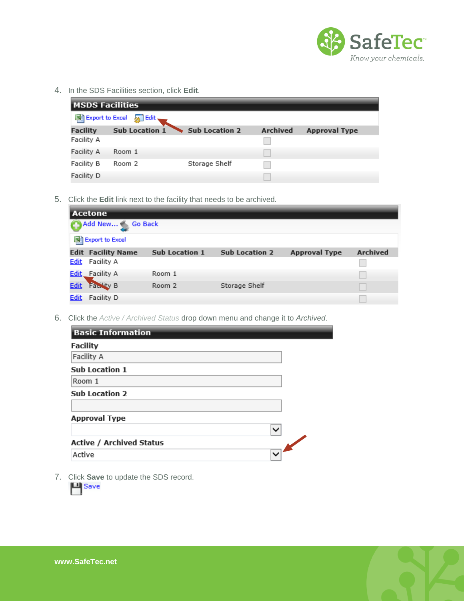

4. In the SDS Facilities section, click **Edit**.

| <b>MSDS Facilities</b> |                       |                       |                 |                      |  |
|------------------------|-----------------------|-----------------------|-----------------|----------------------|--|
| 图 Export to Excel      | <b>Solut</b>          |                       |                 |                      |  |
| <b>Facility</b>        | <b>Sub Location 1</b> | <b>Sub Location 2</b> | <b>Archived</b> | <b>Approval Type</b> |  |
| Facility A             |                       |                       |                 |                      |  |
| Facility A             | Room 1                |                       |                 |                      |  |
| Facility B             | Room 2                | Storage Shelf         |                 |                      |  |
| Facility D             |                       |                       |                 |                      |  |

5. Click the **Edit** link next to the facility that needs to be archived.

| l Acetone   |                           |                       |                       |                      |                 |
|-------------|---------------------------|-----------------------|-----------------------|----------------------|-----------------|
|             | Add New Go Back           |                       |                       |                      |                 |
|             | 图 Export to Excel         |                       |                       |                      |                 |
|             | <b>Edit Facility Name</b> | <b>Sub Location 1</b> | <b>Sub Location 2</b> | <b>Approval Type</b> | <b>Archived</b> |
| Edit        | Facility A                |                       |                       |                      |                 |
| Edit        | Facility A                | Room 1                |                       |                      |                 |
| <b>Edit</b> | <b>Facility B</b>         | Room 2                | Storage Shelf         |                      |                 |
| <b>Edit</b> | Facility D                |                       |                       |                      |                 |

6. Click the *Active / Archived Status* drop down menu and change it to *Archived*.

| <b>Basic Information</b>        |  |
|---------------------------------|--|
| <b>Facility</b>                 |  |
| Facility A                      |  |
| <b>Sub Location 1</b>           |  |
| Room 1                          |  |
| <b>Sub Location 2</b>           |  |
| <b>Approval Type</b>            |  |
|                                 |  |
| <b>Active / Archived Status</b> |  |
| Active                          |  |

7. Click **Save** to update the SDS record.